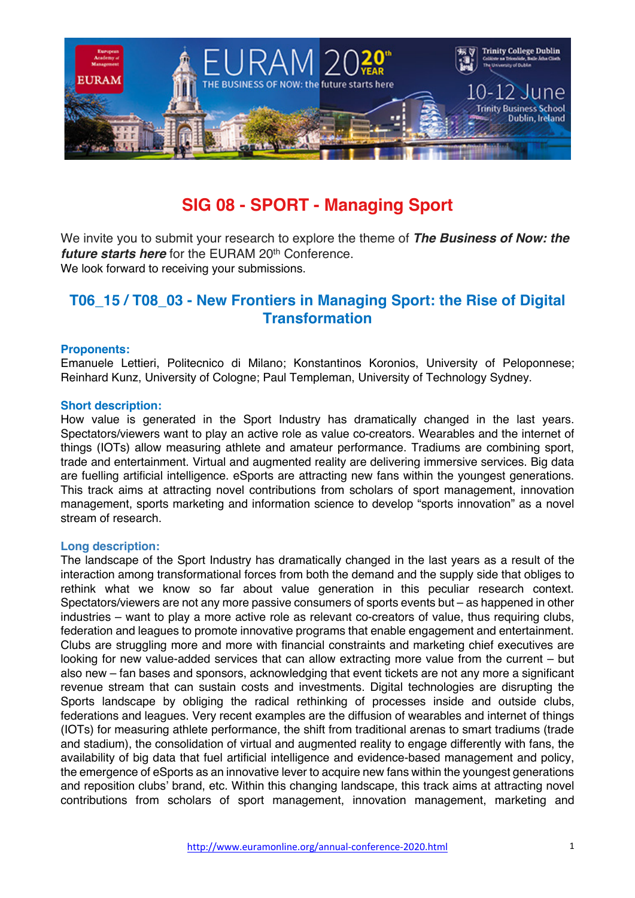

# **SIG 08 - SPORT - Managing Sport**

We invite you to submit your research to explore the theme of *The Business of Now: the future starts here* for the EURAM 20<sup>th</sup> Conference. We look forward to receiving your submissions.

# **T06\_15 / T08\_03 - New Frontiers in Managing Sport: the Rise of Digital Transformation**

#### **Proponents:**

Emanuele Lettieri, Politecnico di Milano; Konstantinos Koronios, University of Peloponnese; Reinhard Kunz, University of Cologne; Paul Templeman, University of Technology Sydney.

#### **Short description:**

How value is generated in the Sport Industry has dramatically changed in the last years. Spectators/viewers want to play an active role as value co-creators. Wearables and the internet of things (IOTs) allow measuring athlete and amateur performance. Tradiums are combining sport, trade and entertainment. Virtual and augmented reality are delivering immersive services. Big data are fuelling artificial intelligence. eSports are attracting new fans within the youngest generations. This track aims at attracting novel contributions from scholars of sport management, innovation management, sports marketing and information science to develop "sports innovation" as a novel stream of research.

# **Long description:**

The landscape of the Sport Industry has dramatically changed in the last years as a result of the interaction among transformational forces from both the demand and the supply side that obliges to rethink what we know so far about value generation in this peculiar research context. Spectators/viewers are not any more passive consumers of sports events but – as happened in other industries – want to play a more active role as relevant co-creators of value, thus requiring clubs, federation and leagues to promote innovative programs that enable engagement and entertainment. Clubs are struggling more and more with financial constraints and marketing chief executives are looking for new value-added services that can allow extracting more value from the current – but also new – fan bases and sponsors, acknowledging that event tickets are not any more a significant revenue stream that can sustain costs and investments. Digital technologies are disrupting the Sports landscape by obliging the radical rethinking of processes inside and outside clubs, federations and leagues. Very recent examples are the diffusion of wearables and internet of things (IOTs) for measuring athlete performance, the shift from traditional arenas to smart tradiums (trade and stadium), the consolidation of virtual and augmented reality to engage differently with fans, the availability of big data that fuel artificial intelligence and evidence-based management and policy, the emergence of eSports as an innovative lever to acquire new fans within the youngest generations and reposition clubs' brand, etc. Within this changing landscape, this track aims at attracting novel contributions from scholars of sport management, innovation management, marketing and